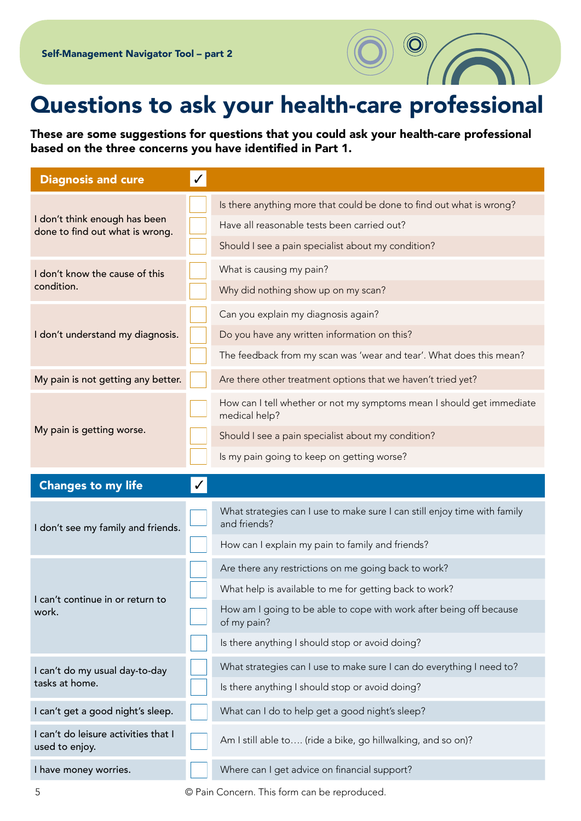## Questions to ask your health-care professional

These are some suggestions for questions that you could ask your health-care professional based on the three concerns you have identified in Part 1.

| <b>Diagnosis and cure</b>                                        | $\checkmark$ |                                                                                           |
|------------------------------------------------------------------|--------------|-------------------------------------------------------------------------------------------|
| I don't think enough has been<br>done to find out what is wrong. |              | Is there anything more that could be done to find out what is wrong?                      |
|                                                                  |              | Have all reasonable tests been carried out?                                               |
|                                                                  |              | Should I see a pain specialist about my condition?                                        |
| I don't know the cause of this<br>condition.                     |              | What is causing my pain?                                                                  |
|                                                                  |              | Why did nothing show up on my scan?                                                       |
| I don't understand my diagnosis.                                 |              | Can you explain my diagnosis again?                                                       |
|                                                                  |              | Do you have any written information on this?                                              |
|                                                                  |              | The feedback from my scan was 'wear and tear'. What does this mean?                       |
| My pain is not getting any better.                               |              | Are there other treatment options that we haven't tried yet?                              |
| My pain is getting worse.                                        |              | How can I tell whether or not my symptoms mean I should get immediate<br>medical help?    |
|                                                                  |              | Should I see a pain specialist about my condition?                                        |
|                                                                  |              | Is my pain going to keep on getting worse?                                                |
|                                                                  |              |                                                                                           |
| <b>Changes to my life</b>                                        |              |                                                                                           |
| I don't see my family and friends.                               |              | What strategies can I use to make sure I can still enjoy time with family<br>and friends? |
|                                                                  |              | How can I explain my pain to family and friends?                                          |
|                                                                  |              | Are there any restrictions on me going back to work?                                      |
|                                                                  |              | What help is available to me for getting back to work?                                    |
| I can't continue in or return to<br>work.                        |              | How am I going to be able to cope with work after being off because<br>of my pain?        |
|                                                                  |              | Is there anything I should stop or avoid doing?                                           |
| I can't do my usual day-to-day                                   |              | What strategies can I use to make sure I can do everything I need to?                     |
| tasks at home.                                                   |              | Is there anything I should stop or avoid doing?                                           |
| I can't get a good night's sleep.                                |              | What can I do to help get a good night's sleep?                                           |
| I can't do leisure activities that I<br>used to enjoy.           |              | Am I still able to (ride a bike, go hillwalking, and so on)?                              |

5 © Pain Concern. This form can be reproduced.